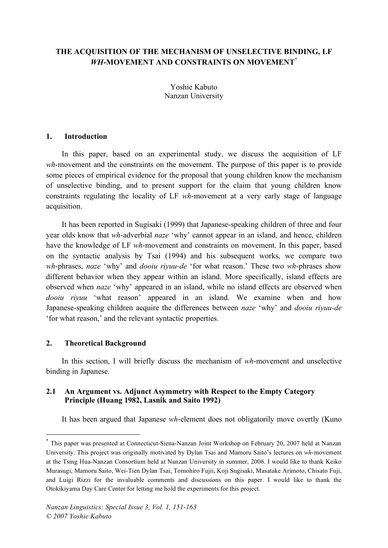# **THE ACQUISITION OF THE MECHANISM OF UNSELECTIVE BINDING, LF** *WH***-MOVEMENT AND CONSTRAINTS ON MOVEMENT\***

Yoshie Kabuto Nanzan University

### **1. Introduction**

In this paper, based on an experimental study, we discuss the acquisition of LF *wh*-movement and the constraints on the movement. The purpose of this paper is to provide some pieces of empirical evidence for the proposal that young children know the mechanism of unselective binding, and to present support for the claim that young children know constraints regulating the locality of LF *wh*-movement at a very early stage of language acquisition.

It has been reported in Sugisaki (1999) that Japanese-speaking children of three and four year olds know that *wh*-adverbial *naze* 'why' cannot appear in an island, and hence, children have the knowledge of LF *wh*-movement and constraints on movement. In this paper, based on the syntactic analysis by Tsai (1994) and his subsequent works, we compare two *wh*-phrases, *naze* 'why' and *dooiu riyuu-de* 'for what reason.' These two *wh*-phrases show different behavior when they appear within an island. More specifically, island effects are observed when *naze* 'why' appeared in an island, while no island effects are observed when *dooiu riyuu* 'what reason' appeared in an island. We examine when and how Japanese-speaking children acquire the differences between *naze* 'why' and *dooiu riyuu-de* 'for what reason,' and the relevant syntactic properties.

### **2. Theoretical Background**

In this section, I will briefly discuss the mechanism of *wh*-movement and unselective binding in Japanese.

## **2.1 An Argument vs. Adjunct Asymmetry with Respect to the Empty Category Principle (Huang 1982, Lasnik and Saito 1992)**

It has been argued that Japanese *wh*-element does not obligatorily move overtly (Kuno

 <sup>\*</sup> This paper was presented at Connecticut-Siena-Nanzan Joint Workshop on February 20, <sup>2007</sup> held at Nanzan University. This project was originally motivated by Dylan Tsai and Mamoru Saito's lectures on *wh*-movement at the Tsing Hua-Nanzan Consortium held at Nanzan University in summer, 2006. I would like to thank Keiko Murasugi, Mamoru Saito, Wei-Tien Dylan Tsai, Tomohiro Fujii, Koji Sugisaki, Masatake Arimoto, Chisato Fuji, and Luigi Rizzi for the invaluable comments and discussions on this paper. I would like to thank the Otokikiyama Day Care Center for letting me hold the experiments for this project.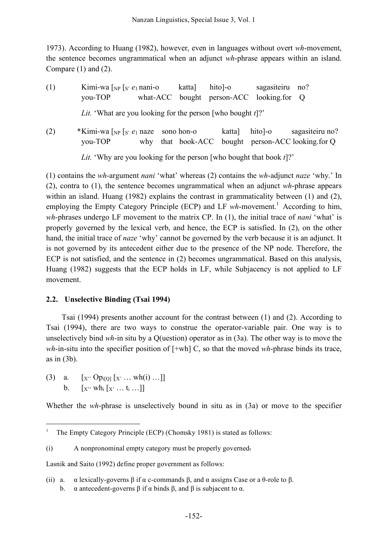1973). According to Huang (1982), however, even in languages without overt *wh*-movement, the sentence becomes ungrammatical when an adjunct *wh*-phrase appears within an island. Compare (1) and (2).

(1) Kimi-wa [NP [S' *e*<sup>1</sup> nani-o katta] hito]-o sagasiteiru no? you-TOP what-ACC bought person-ACC looking.for Q *Lit.* 'What are you looking for the person [who bought *t*]?'

(2) \*Kimi-wa [NP [S' *e*<sup>1</sup> naze sono hon-o katta] hito]-o sagasiteiru no? you-TOP why that book-ACC bought person-ACC looking.for Q *Lit.* 'Why are you looking for the person [who bought that book *t*]?'

(1) contains the *wh*-argument *nani* 'what' whereas (2) contains the *wh*-adjunct *naze* 'why.' In (2), contra to (1), the sentence becomes ungrammatical when an adjunct *wh*-phrase appears within an island. Huang (1982) explains the contrast in grammaticality between (1) and (2), employing the Empty Category Principle (ECP) and LF wh-movement.<sup>1</sup> According to him, *wh*-phrases undergo LF movement to the matrix CP. In (1), the initial trace of *nani* 'what' is properly governed by the lexical verb, and hence, the ECP is satisfied. In (2), on the other hand, the initial trace of *naze* 'why' cannot be governed by the verb because it is an adjunct. It is not governed by its antecedent either due to the presence of the NP node. Therefore, the ECP is not satisfied, and the sentence in (2) becomes ungrammatical. Based on this analysis, Huang (1982) suggests that the ECP holds in LF, while Subjacency is not applied to LF movement.

# **2.2. Unselective Binding (Tsai 1994)**

Tsai (1994) presents another account for the contrast between (1) and (2). According to Tsai (1994), there are two ways to construe the operator-variable pair. One way is to unselectively bind *wh*-in situ by a Q(uestion) operator as in (3a). The other way is to move the *wh*-in-situ into the specifier position of [+wh] C, so that the moved *wh*-phrase binds its trace, as in (3b).

(3) a.  $[x'' \text{ Op}_{i[0]} [x' \dots \text{ wh}(i) \dots]]$ b.  $[x'' \cdot wh_i [x' \dots t_i \dots]]$ 

Whether the *wh*-phrase is unselectively bound in situ as in (3a) or move to the specifier

Lasnik and Saito (1992) define proper government as follows:

(ii) a.  $\alpha$  lexically-governs  $\beta$  if  $\alpha$  c-commands  $\beta$ , and  $\alpha$  assigns Case or a θ-role to  $\beta$ . b.  $\alpha$  antecedent-governs  $\beta$  if  $\alpha$  binds  $\beta$ , and  $\beta$  is subjacent to  $\alpha$ .

 <sup>1</sup> The Empty Category Principle (ECP) (Chomsky 1981) is stated as follows:

<sup>(</sup>i) A nonpronominal empty category must be properly governed.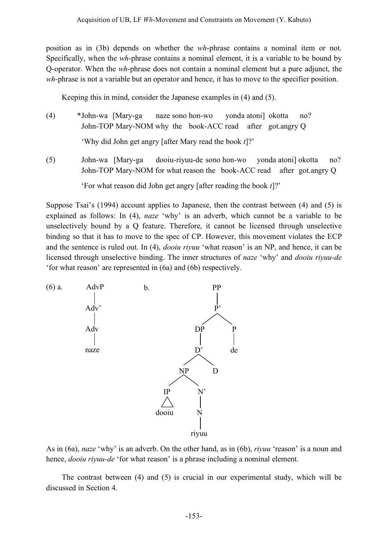position as in (3b) depends on whether the *wh*-phrase contains a nominal item or not. Specifically, when the *wh*-phrase contains a nominal element, it is a variable to be bound by Q-operator. When the *wh*-phrase does not contain a nominal element but a pure adjunct, the *wh*-phrase is not a variable but an operator and hence, it has to move to the specifier position.

Keeping this in mind, consider the Japanese examples in (4) and (5).

- (4) \*John-wa [Mary-ga naze sono hon-wo yonda atoni] okotta no? John-TOP Mary-NOM why the book-ACC read after got.angry Q 'Why did John get angry [after Mary read the book *t*]?'
- (5) John-wa [Mary-ga dooiu-riyuu-de sono hon-wo yonda atoni] okotta no? John-TOP Mary-NOM for what reason the book-ACC read after got.angry Q

'For what reason did John get angry [after reading the book *t*]?'

Suppose Tsai's (1994) account applies to Japanese, then the contrast between (4) and (5) is explained as follows: In (4), *naze* 'why' is an adverb, which cannot be a variable to be unselectively bound by a Q feature. Therefore, it cannot be licensed through unselective binding so that it has to move to the spec of CP. However, this movement violates the ECP and the sentence is ruled out. In (4), *dooiu riyuu* 'what reason' is an NP, and hence, it can be licensed through unselective binding. The inner structures of *naze* 'why' and *dooiu riyuu-de* 'for what reason' are represented in (6a) and (6b) respectively.



As in (6a), *naze* 'why' is an adverb. On the other hand, as in (6b), *riyuu* 'reason' is a noun and hence, *dooiu riyuu-de* 'for what reason' is a phrase including a nominal element.

The contrast between (4) and (5) is crucial in our experimental study, which will be discussed in Section 4.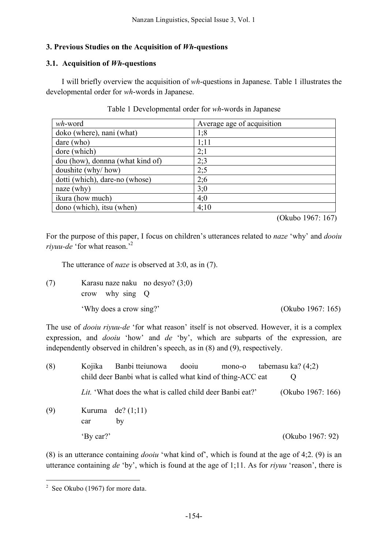# **3. Previous Studies on the Acquisition of** *Wh***-questions**

# **3.1. Acquisition of** *Wh***-questions**

I will briefly overview the acquisition of *wh*-questions in Japanese. Table 1 illustrates the developmental order for *wh*-words in Japanese.

| $wh$ -word                       | Average age of acquisition |
|----------------------------------|----------------------------|
| doko (where), nani (what)        | 1;8                        |
| dare (who)                       | 1;11                       |
| dore (which)                     | 2;1                        |
| dou (how), donnna (what kind of) | 2:3                        |
| doushite (why/how)               | 2:5                        |
| dotti (which), dare-no (whose)   | 2:6                        |
| naze (why)                       | 3:0                        |
| ikura (how much)                 | 4:0                        |
| dono (which), itsu (when)        | 4:10                       |

## Table 1 Developmental order for *wh*-words in Japanese

(Okubo 1967: 167)

For the purpose of this paper, I focus on children's utterances related to *naze* 'why' and *dooiu riyuu-de* 'for what reason.' 2

The utterance of *naze* is observed at 3:0, as in (7).

(7) Karasu naze naku no desyo? (3;0) crow why sing Q 'Why does a crow sing?' (Okubo 1967: 165)

The use of *dooiu riyuu-de* 'for what reason' itself is not observed. However, it is a complex expression, and *dooiu* 'how' and *de* 'by', which are subparts of the expression, are independently observed in children's speech, as in (8) and (9), respectively.

| (8) | Kojika    | Banbi tteiunowa dooiu                                            | mono-o | tabemasu ka? $(4;2)$ |
|-----|-----------|------------------------------------------------------------------|--------|----------------------|
|     |           | child deer Banbi what is called what kind of thing-ACC eat       |        |                      |
|     |           | <i>Lit.</i> 'What does the what is called child deer Banbi eat?' |        | (Okubo 1967: 166)    |
| (9) |           | Kuruma de? $(1,11)$                                              |        |                      |
|     | car       | by                                                               |        |                      |
|     | 'By car?' |                                                                  |        | (Okubo 1967: 92)     |

(8) is an utterance containing *dooiu* 'what kind of', which is found at the age of 4;2. (9) is an utterance containing *de* 'by', which is found at the age of 1;11. As for *riyuu* 'reason', there is

 $2$  See Okubo (1967) for more data.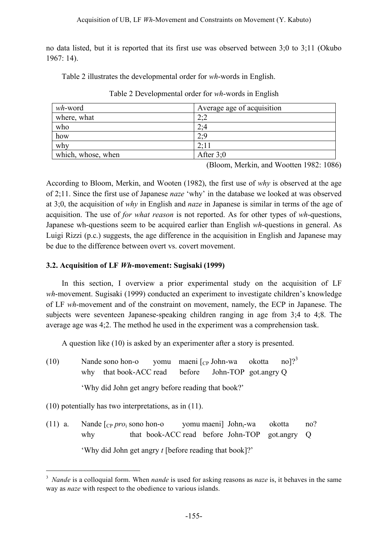no data listed, but it is reported that its first use was observed between 3;0 to 3;11 (Okubo 1967: 14).

Table 2 illustrates the developmental order for *wh*-words in English.

| wh-word            | Average age of acquisition    |
|--------------------|-------------------------------|
| where, what        | $\mathcal{D}\cdot\mathcal{D}$ |
| who                | 2:4                           |
| how                | 2.0                           |
| why                | $2 \cdot 11$                  |
| which, whose, when | After $3:0$                   |

Table 2 Developmental order for *wh*-words in English

(Bloom, Merkin, and Wootten 1982: 1086)

According to Bloom, Merkin, and Wooten (1982), the first use of *why* is observed at the age of 2;11. Since the first use of Japanese *naze* 'why' in the database we looked at was observed at 3;0, the acquisition of *why* in English and *naze* in Japanese is similar in terms of the age of acquisition. The use of *for what reason* is not reported. As for other types of *wh*-questions, Japanese wh-questions seem to be acquired earlier than English *wh*-questions in general. As Luigi Rizzi (p.c.) suggests, the age difference in the acquisition in English and Japanese may be due to the difference between overt vs. covert movement.

# **3.2. Acquisition of LF** *Wh***-movement: Sugisaki (1999)**

In this section, I overview a prior experimental study on the acquisition of LF *wh*-movement. Sugisaki (1999) conducted an experiment to investigate children's knowledge of LF *wh*-movement and of the constraint on movement, namely, the ECP in Japanese. The subjects were seventeen Japanese-speaking children ranging in age from 3;4 to 4;8. The average age was 4;2. The method he used in the experiment was a comprehension task.

A question like (10) is asked by an experimenter after a story is presented.

(10) Nande sono hon-o vomu maeni  $\lceil_{CP}$  John-wa okotta  $\text{no}$ <sup>3</sup> why that book-ACC read before John-TOP got.angry Q 'Why did John get angry before reading that book?'

(10) potentially has two interpretations, as in (11).

(11) a. Nande [CP *pro*<sup>i</sup> sono hon-o yomu maeni] Johni-wa okotta no? why that book-ACC read before John-TOP got.angry Q 'Why did John get angry *t* [before reading that book]?'

 <sup>3</sup> *Nande* is a colloquial form. When *nande* is used for asking reasons as *naze* is, it behaves in the same way as *naze* with respect to the obedience to various islands.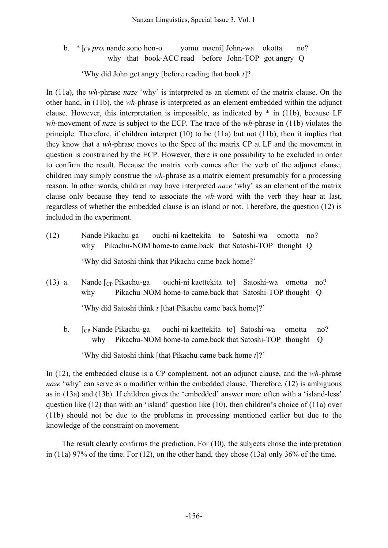b. \* [CP *pro*<sup>i</sup> nande sono hon-o yomu maeni] Johni-wa okotta no? why that book-ACC read before John-TOP got.angry Q

'Why did John get angry [before reading that book *t*]?

In (11a), the *wh*-phrase *naze* 'why' is interpreted as an element of the matrix clause. On the other hand, in (11b), the *wh*-phrase is interpreted as an element embedded within the adjunct clause. However, this interpretation is impossible, as indicated by \* in (11b), because LF *wh*-movement of *naze* is subject to the ECP. The trace of the *wh*-phrase in (11b) violates the principle. Therefore, if children interpret (10) to be (11a) but not (11b), then it implies that they know that a *wh*-phrase moves to the Spec of the matrix CP at LF and the movement in question is constrained by the ECP. However, there is one possibility to be excluded in order to confirm the result. Because the matrix verb comes after the verb of the adjunct clause, children may simply construe the *wh*-phrase as a matrix element presumably for a processing reason. In other words, children may have interpreted *naze* 'why' as an element of the matrix clause only because they tend to associate the *wh*-word with the verb they hear at last, regardless of whether the embedded clause is an island or not. Therefore, the question (12) is included in the experiment.

- (12) Nande Pikachu-ga ouchi-ni kaettekita to Satoshi-wa omotta no? why Pikachu-NOM home-to came.back that Satoshi-TOP thought Q 'Why did Satoshi think that Pikachu came back home?'
- (13) a. Nande  $\lceil_{CP}$  Pikachu-ga ouchi-ni kaettekita to Satoshi-wa omotta no? why Pikachu-NOM home-to came.back that Satoshi-TOP thought Q 'Why did Satoshi think *t* [that Pikachu came back home]?'
	- b. [CP Nande Pikachu-ga ouchi-ni kaettekita to] Satoshi-wa omotta no? why Pikachu-NOM home-to came.back that Satoshi-TOP thought Q

'Why did Satoshi think [that Pikachu came back home *t*]?'

In (12), the embedded clause is a CP complement, not an adjunct clause, and the *wh*-phrase *naze* 'why' can serve as a modifier within the embedded clause. Therefore, (12) is ambiguous as in (13a) and (13b). If children gives the 'embedded' answer more often with a 'island-less' question like (12) than with an 'island' question like (10), then children's choice of (11a) over (11b) should not be due to the problems in processing mentioned earlier but due to the knowledge of the constraint on movement.

The result clearly confirms the prediction. For (10), the subjects chose the interpretation in (11a) 97% of the time. For (12), on the other hand, they chose (13a) only 36% of the time.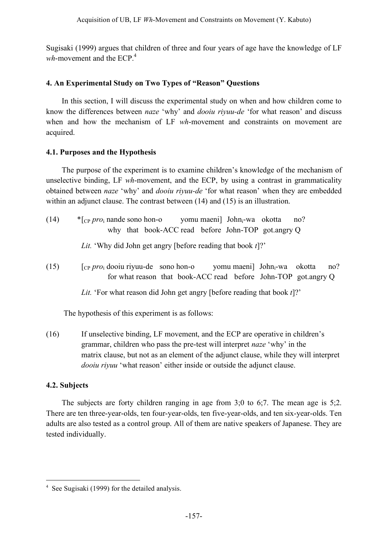Sugisaki (1999) argues that children of three and four years of age have the knowledge of LF wh-movement and the ECP.<sup>4</sup>

# **4. An Experimental Study on Two Types of "Reason" Questions**

In this section, I will discuss the experimental study on when and how children come to know the differences between *naze* 'why' and *dooiu riyuu-de* 'for what reason' and discuss when and how the mechanism of LF *wh*-movement and constraints on movement are acquired.

# **4.1. Purposes and the Hypothesis**

The purpose of the experiment is to examine children's knowledge of the mechanism of unselective binding, LF *wh*-movement, and the ECP, by using a contrast in grammaticality obtained between *naze* 'why' and *dooiu riyuu-de* 'for what reason' when they are embedded within an adjunct clause. The contrast between (14) and (15) is an illustration.

(14) \*[CP *pro*<sup>i</sup> nande sono hon-o yomu maeni] Johni-wa okotta no? why that book-ACC read before John-TOP got.angry Q

*Lit.* 'Why did John get angry [before reading that book *t*]?'

(15) [CP *pro*<sup>i</sup> dooiu riyuu-de sono hon-o yomu maeni] Johni-wa okotta no? for what reason that book-ACC read before John-TOP got.angry Q

*Lit.* 'For what reason did John get angry [before reading that book *t*]?'

The hypothesis of this experiment is as follows:

(16) If unselective binding, LF movement, and the ECP are operative in children's grammar, children who pass the pre-test will interpret *naze* 'why' in the matrix clause, but not as an element of the adjunct clause, while they will interpret *dooiu riyuu* 'what reason' either inside or outside the adjunct clause.

# **4.2. Subjects**

The subjects are forty children ranging in age from 3;0 to 6;7. The mean age is 5;2. There are ten three-year-olds, ten four-year-olds, ten five-year-olds, and ten six-year-olds. Ten adults are also tested as a control group. All of them are native speakers of Japanese. They are tested individually.

 <sup>4</sup> See Sugisaki (1999) for the detailed analysis.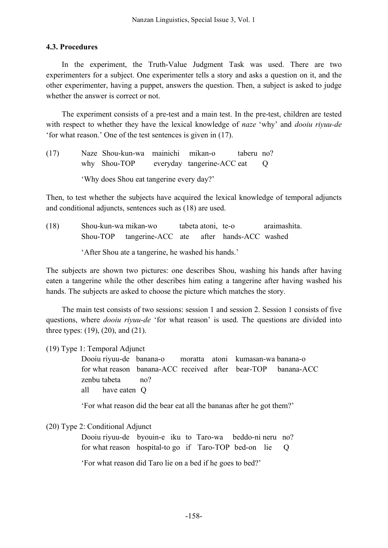### **4.3. Procedures**

In the experiment, the Truth-Value Judgment Task was used. There are two experimenters for a subject. One experimenter tells a story and asks a question on it, and the other experimenter, having a puppet, answers the question. Then, a subject is asked to judge whether the answer is correct or not.

The experiment consists of a pre-test and a main test. In the pre-test, children are tested with respect to whether they have the lexical knowledge of *naze* 'why' and *dooiu riyuu-de* 'for what reason.' One of the test sentences is given in (17).

(17) Naze Shou-kun-wa mainichi mikan-o taberu no? why Shou-TOP everyday tangerine-ACC eat Q 'Why does Shou eat tangerine every day?'

Then, to test whether the subjects have acquired the lexical knowledge of temporal adjuncts and conditional adjuncts, sentences such as (18) are used.

(18) Shou-kun-wa mikan-wo tabeta atoni, te-o araimashita. Shou-TOP tangerine-ACC ate after hands-ACC washed

'After Shou ate a tangerine, he washed his hands.'

The subjects are shown two pictures: one describes Shou, washing his hands after having eaten a tangerine while the other describes him eating a tangerine after having washed his hands. The subjects are asked to choose the picture which matches the story.

The main test consists of two sessions: session 1 and session 2. Session 1 consists of five questions, where *dooiu riyuu-de* 'for what reason' is used. The questions are divided into three types: (19), (20), and (21).

(19) Type 1: Temporal Adjunct

Dooiu riyuu-de banana-o moratta atoni kumasan-wa banana-o for what reason banana-ACC received after bear-TOP banana-ACC zenbu tabeta no? all have eaten Q

'For what reason did the bear eat all the bananas after he got them?'

(20) Type 2: Conditional Adjunct

Dooiu riyuu-de byouin-e iku to Taro-wa beddo-ni neru no? for what reason hospital-to go if Taro-TOP bed-on lie Q

'For what reason did Taro lie on a bed if he goes to bed?'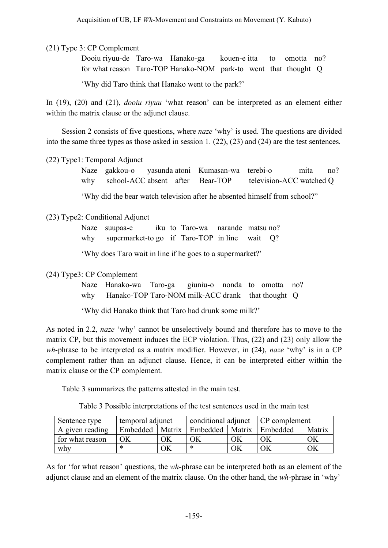(21) Type 3: CP Complement

Dooiu riyuu-de Taro-wa Hanako-ga kouen-e itta to omotta no? for what reason Taro-TOP Hanako-NOM park-to went that thought Q

'Why did Taro think that Hanako went to the park?'

In (19), (20) and (21), *dooiu riyuu* 'what reason' can be interpreted as an element either within the matrix clause or the adjunct clause.

Session 2 consists of five questions, where *naze* 'why' is used. The questions are divided into the same three types as those asked in session 1. (22), (23) and (24) are the test sentences.

(22) Type1: Temporal Adjunct

Naze gakkou-o yasunda atoni Kumasan-wa terebi-o mita no? why school-ACC absent after Bear-TOP television-ACC watched Q

'Why did the bear watch television after he absented himself from school?"

### (23) Type2: Conditional Adjunct

Naze suupaa-e iku to Taro-wa narande matsu no? why supermarket-to go if Taro-TOP in line wait Q?

'Why does Taro wait in line if he goes to a supermarket?'

### (24) Type3: CP Complement

Naze Hanako-wa Taro-ga giuniu-o nonda to omotta no? why Hanako-TOP Taro-NOM milk-ACC drank that thought Q

'Why did Hanako think that Taro had drunk some milk?'

As noted in 2.2, *naze* 'why' cannot be unselectively bound and therefore has to move to the matrix CP, but this movement induces the ECP violation. Thus, (22) and (23) only allow the *wh*-phrase to be interpreted as a matrix modifier. However, in (24), *naze* 'why' is in a CP complement rather than an adjunct clause. Hence, it can be interpreted either within the matrix clause or the CP complement.

Table 3 summarizes the patterns attested in the main test.

Table 3 Possible interpretations of the test sentences used in the main test

| Sentence type   | temporal adjunct  |    | conditional adjunct CP complement |    |          |        |
|-----------------|-------------------|----|-----------------------------------|----|----------|--------|
| A given reading | Embedded   Matrix |    | Embedded   Matrix                 |    | Embedded | Matrix |
| for what reason | ΟK                | ЭK |                                   | ОK | ОK       | ΟK     |
| why             |                   | ЭK | ∗                                 | ЭK |          | ΟK     |

As for 'for what reason' questions, the *wh*-phrase can be interpreted both as an element of the adjunct clause and an element of the matrix clause. On the other hand, the *wh*-phrase in 'why'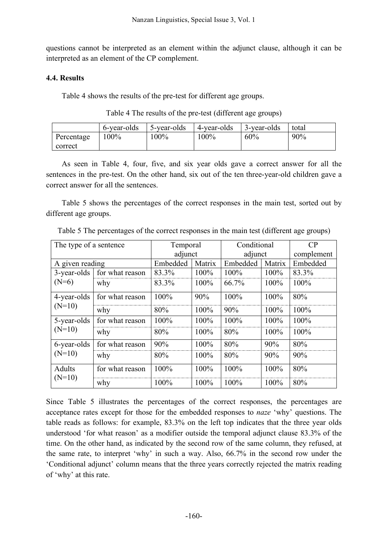questions cannot be interpreted as an element within the adjunct clause, although it can be interpreted as an element of the CP complement.

## **4.4. Results**

Table 4 shows the results of the pre-test for different age groups.

| Table 4 The results of the pre-test (different age groups) |  |
|------------------------------------------------------------|--|
|------------------------------------------------------------|--|

|            | 6-year-olds | 5-year-olds | 4-year-olds | 3-year-olds | total  |
|------------|-------------|-------------|-------------|-------------|--------|
| Percentage | $100\%$     | $100\%$     | 100%        | 60%         | $90\%$ |
| correct    |             |             |             |             |        |

As seen in Table 4, four, five, and six year olds gave a correct answer for all the sentences in the pre-test. On the other hand, six out of the ten three-year-old children gave a correct answer for all the sentences.

Table 5 shows the percentages of the correct responses in the main test, sorted out by different age groups.

| The type of a sentence  |                 | Temporal |        | Conditional |        | CP         |
|-------------------------|-----------------|----------|--------|-------------|--------|------------|
|                         |                 | adjunct  |        | adjunct     |        | complement |
| A given reading         |                 | Embedded | Matrix | Embedded    | Matrix | Embedded   |
| 3-year-olds             | for what reason | 83.3%    | 100%   | 100%        | 100%   | 83.3%      |
| $(N=6)$                 | why             | 83.3%    | 100%   | 66.7%       | 100%   | $100\%$    |
| 4-year-olds             | for what reason | 100%     | 90%    | 100%        | 100%   | 80%        |
| $(N=10)$                | why             | 80%      | 100%   | 90%         | 100%   | 100%       |
| 5-year-olds<br>$(N=10)$ | for what reason | 100%     | 100%   | 100%        | 100%   | 100%       |
|                         | why             | 80%      | 100%   | 80%         | 100%   | 100%       |
| 6-year-olds<br>$(N=10)$ | for what reason | 90%      | 100%   | 80%         | 90%    | 80%        |
|                         | why             | 80%      | 100%   | 80%         | 90%    | 90%        |
| Adults<br>$(N=10)$      | for what reason | 100%     | 100%   | 100%        | 100%   | 80%        |
|                         | why             | 100%     | 100%   | 100%        | 100%   | 80%        |

Table 5 The percentages of the correct responses in the main test (different age groups)

Since Table 5 illustrates the percentages of the correct responses, the percentages are acceptance rates except for those for the embedded responses to *naze* 'why' questions. The table reads as follows: for example, 83.3% on the left top indicates that the three year olds understood 'for what reason' as a modifier outside the temporal adjunct clause 83.3% of the time. On the other hand, as indicated by the second row of the same column, they refused, at the same rate, to interpret 'why' in such a way. Also, 66.7% in the second row under the 'Conditional adjunct' column means that the three years correctly rejected the matrix reading of 'why' at this rate.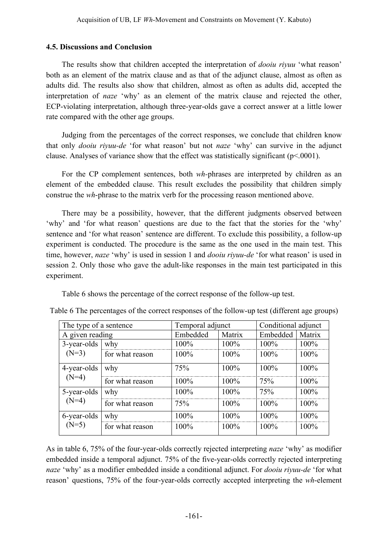### **4.5. Discussions and Conclusion**

The results show that children accepted the interpretation of *dooiu riyuu* 'what reason' both as an element of the matrix clause and as that of the adjunct clause, almost as often as adults did. The results also show that children, almost as often as adults did, accepted the interpretation of *naze* 'why' as an element of the matrix clause and rejected the other, ECP-violating interpretation, although three-year-olds gave a correct answer at a little lower rate compared with the other age groups.

Judging from the percentages of the correct responses, we conclude that children know that only *dooiu riyuu-de* 'for what reason' but not *naze* 'why' can survive in the adjunct clause. Analyses of variance show that the effect was statistically significant (p<.0001).

For the CP complement sentences, both *wh-*phrases are interpreted by children as an element of the embedded clause. This result excludes the possibility that children simply construe the *wh*-phrase to the matrix verb for the processing reason mentioned above.

There may be a possibility, however, that the different judgments observed between 'why' and 'for what reason' questions are due to the fact that the stories for the 'why' sentence and 'for what reason' sentence are different. To exclude this possibility, a follow-up experiment is conducted. The procedure is the same as the one used in the main test. This time, however, *naze* 'why' is used in session 1 and *dooiu riyuu-de* 'for what reason' is used in session 2. Only those who gave the adult-like responses in the main test participated in this experiment.

Table 6 shows the percentage of the correct response of the follow-up test.

| The type of a sentence |                 | Temporal adjunct |         | Conditional adjunct |         |
|------------------------|-----------------|------------------|---------|---------------------|---------|
| A given reading        |                 | Embedded         | Matrix  | Embedded            | Matrix  |
| 3-year-olds            | why             | 100%             | 100%    | 100%                | 100%    |
| $(N=3)$                | for what reason | 100%             | $100\%$ | $100\%$             | 100%    |
| 4-year-olds<br>$(N=4)$ | why             | 75%              | 100%    | 100%                | 100%    |
|                        | for what reason | $100\%$          | $100\%$ | 75%                 | $100\%$ |
| 5-year-olds<br>$(N=4)$ | why             | 100%             | 100%    | 75%                 | 100%    |
|                        | for what reason | 75%              | $100\%$ | $100\%$             | 100%    |
| 6-year-olds<br>$(N=5)$ | why             | 100%             | 100%    | $100\%$             | 100%    |
|                        | for what reason | 100%             | $100\%$ | $100\%$             | 100%    |

Table 6 The percentages of the correct responses of the follow-up test (different age groups)

As in table 6, 75% of the four-year-olds correctly rejected interpreting *naze* 'why' as modifier embedded inside a temporal adjunct. 75% of the five-year-olds correctly rejected interpreting *naze* 'why' as a modifier embedded inside a conditional adjunct. For *dooiu riyuu-de* 'for what reason' questions, 75% of the four-year-olds correctly accepted interpreting the *wh*-element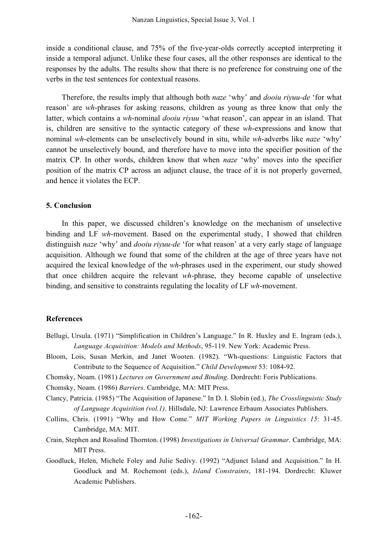inside a conditional clause, and 75% of the five-year-olds correctly accepted interpreting it inside a temporal adjunct. Unlike these four cases, all the other responses are identical to the responses by the adults. The results show that there is no preference for construing one of the verbs in the test sentences for contextual reasons.

Therefore, the results imply that although both *naze* 'why' and *dooiu riyuu-de* 'for what reason' are *wh*-phrases for asking reasons, children as young as three know that only the latter, which contains a *wh*-nominal *dooiu riyuu* 'what reason', can appear in an island. That is, children are sensitive to the syntactic category of these *wh*-expressions and know that nominal *wh*-elements can be unselectively bound in situ, while *wh*-adverbs like *naze* 'why' cannot be unselectively bound, and therefore have to move into the specifier position of the matrix CP. In other words, children know that when *naze* 'why' moves into the specifier position of the matrix CP across an adjunct clause, the trace of it is not properly governed, and hence it violates the ECP.

#### **5. Conclusion**

In this paper, we discussed children's knowledge on the mechanism of unselective binding and LF *wh*-movement. Based on the experimental study, I showed that children distinguish *naze* 'why' and *dooiu riyuu-de* 'for what reason' at a very early stage of language acquisition. Although we found that some of the children at the age of three years have not acquired the lexical knowledge of the *wh*-phrases used in the experiment, our study showed that once children acquire the relevant *wh*-phrase, they become capable of unselective binding, and sensitive to constraints regulating the locality of LF *wh*-movement.

#### **References**

- Bellugi, Ursula. (1971) "Simplification in Children's Language." In R. Huxley and E. Ingram (eds.), *Language Acquisition: Models and Methods*, 95-119. New York: Academic Press.
- Bloom, Lois, Susan Merkin, and Janet Wooten. (1982). "Wh-questions: Linguistic Factors that Contribute to the Sequence of Acquisition." *Child Development* 53: 1084-92.
- Chomsky, Noam. (1981) *Lectures on Government and Binding*. Dordrecht: Foris Publications.
- Chomsky, Noam. (1986) *Barriers*. Cambridge, MA: MIT Press.
- Clancy, Patricia. (1985) "The Acquisition of Japanese." In D. I. Slobin (ed.), *The Crosslinguistic Study of Language Acquisition (vol.1)*. Hillsdale, NJ: Lawrence Erbaum Associates Publishers.
- Collins, Chris. (1991) "Why and How Come." *MIT Working Papers in Linguistics 15*: 31-45. Cambridge, MA: MIT.
- Crain, Stephen and Rosalind Thornton. (1998) *Investigations in Universal Grammar*. Cambridge, MA: MIT Press.
- Goodluck, Helen, Michele Foley and Julie Sedivy. (1992) "Adjunct Island and Acquisition." In H. Goodluck and M. Rochemont (eds.), *Island Constraints*, 181-194. Dordrecht: Kluwer Academic Publishers.